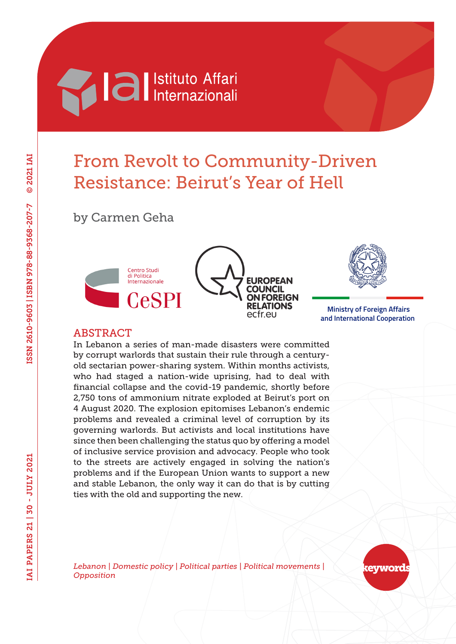

# From Revolt to Community-Driven Resistance: Beirut's Year of Hell

by Carmen Geha





 **Ministry of Foreign Affairs and International Cooperation**

#### **ABSTRACT**

In Lebanon a series of man-made disasters were committed by corrupt warlords that sustain their rule through a centuryold sectarian power-sharing system. Within months activists, who had staged a nation-wide uprising, had to deal with financial collapse and the covid-19 pandemic, shortly before 2,750 tons of ammonium nitrate exploded at Beirut's port on 4 August 2020. The explosion epitomises Lebanon's endemic problems and revealed a criminal level of corruption by its governing warlords. But activists and local institutions have since then been challenging the status quo by offering a model of inclusive service provision and advocacy. People who took to the streets are actively engaged in solving the nation's problems and if the European Union wants to support a new and stable Lebanon, the only way it can do that is by cutting ties with the old and supporting the new.

*Lebanon | Domestic policy | Political parties | Political movements | Opposition*

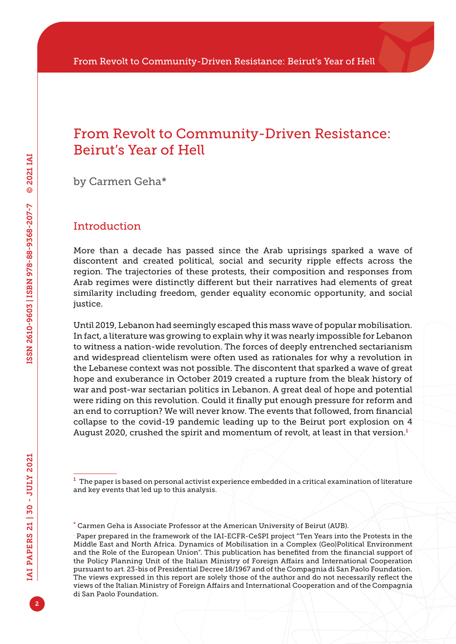### From Revolt to Community-Driven Resistance: Beirut's Year of Hell

by Carmen Geha\*

#### Introduction

More than a decade has passed since the Arab uprisings sparked a wave of discontent and created political, social and security ripple effects across the region. The trajectories of these protests, their composition and responses from Arab regimes were distinctly different but their narratives had elements of great similarity including freedom, gender equality economic opportunity, and social justice.

Until 2019, Lebanon had seemingly escaped this mass wave of popular mobilisation. In fact, a literature was growing to explain why it was nearly impossible for Lebanon to witness a nation-wide revolution. The forces of deeply entrenched sectarianism and widespread clientelism were often used as rationales for why a revolution in the Lebanese context was not possible. The discontent that sparked a wave of great hope and exuberance in October 2019 created a rupture from the bleak history of war and post-war sectarian politics in Lebanon. A great deal of hope and potential were riding on this revolution. Could it finally put enough pressure for reform and an end to corruption? We will never know. The events that followed, from financial collapse to the covid-19 pandemic leading up to the Beirut port explosion on 4 August 2020, crushed the spirit and momentum of revolt, at least in that version.<sup>1</sup>

 $<sup>1</sup>$  The paper is based on personal activist experience embedded in a critical examination of literature</sup> and key events that led up to this analysis.

<sup>\*</sup> Carmen Geha is Associate Professor at the American University of Beirut (AUB).

<sup>.</sup> Paper prepared in the framework of the IAI-ECFR-CeSPI project "Ten Years into the Protests in the Middle East and North Africa. Dynamics of Mobilisation in a Complex (Geo)Political Environment and the Role of the European Union". This publication has benefited from the financial support of the Policy Planning Unit of the Italian Ministry of Foreign Affairs and International Cooperation pursuant to art. 23-bis of Presidential Decree 18/1967 and of the Compagnia di San Paolo Foundation. The views expressed in this report are solely those of the author and do not necessarily reflect the views of the Italian Ministry of Foreign Affairs and International Cooperation and of the Compagnia di San Paolo Foundation.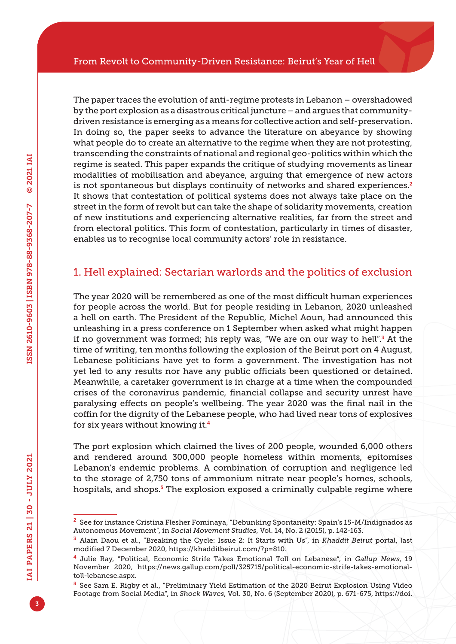The paper traces the evolution of anti-regime protests in Lebanon – overshadowed by the port explosion as a disastrous critical juncture – and argues that communitydriven resistance is emerging as a means for collective action and self-preservation. In doing so, the paper seeks to advance the literature on abeyance by showing what people do to create an alternative to the regime when they are not protesting, transcending the constraints of national and regional geo-politics within which the regime is seated. This paper expands the critique of studying movements as linear modalities of mobilisation and abeyance, arguing that emergence of new actors is not spontaneous but displays continuity of networks and shared experiences. $2$ It shows that contestation of political systems does not always take place on the street in the form of revolt but can take the shape of solidarity movements, creation of new institutions and experiencing alternative realities, far from the street and from electoral politics. This form of contestation, particularly in times of disaster, enables us to recognise local community actors' role in resistance.

### 1. Hell explained: Sectarian warlords and the politics of exclusion

The year 2020 will be remembered as one of the most difficult human experiences for people across the world. But for people residing in Lebanon, 2020 unleashed a hell on earth. The President of the Republic, Michel Aoun, had announced this unleashing in a press conference on 1 September when asked what might happen if no government was formed; his reply was, "We are on our way to hell".<sup>3</sup> At the time of writing, ten months following the explosion of the Beirut port on 4 August, Lebanese politicians have yet to form a government. The investigation has not yet led to any results nor have any public officials been questioned or detained. Meanwhile, a caretaker government is in charge at a time when the compounded crises of the coronavirus pandemic, financial collapse and security unrest have paralysing effects on people's wellbeing. The year 2020 was the final nail in the coffin for the dignity of the Lebanese people, who had lived near tons of explosives for six years without knowing it.<sup>4</sup>

The port explosion which claimed the lives of 200 people, wounded 6,000 others and rendered around 300,000 people homeless within moments, epitomises Lebanon's endemic problems. A combination of corruption and negligence led to the storage of 2,750 tons of ammonium nitrate near people's homes, schools, hospitals, and shops.<sup>5</sup> The explosion exposed a criminally culpable regime where

<sup>2</sup> See for instance Cristina Flesher Fominaya, "Debunking Spontaneity: Spain's 15-M/Indignados as Autonomous Movement", in *Social Movement Studies*, Vol. 14, No. 2 (2015), p. 142-163.

<sup>3</sup> Alain Daou et al., "Breaking the Cycle: Issue 2: It Starts with Us", in *Khaddit Beirut* portal, last modified 7 December 2020, [https://khadditbeirut.com/?p=810.](https://khadditbeirut.com/?p=810)

<sup>4</sup> Julie Ray, "Political, Economic Strife Takes Emotional Toll on Lebanese", in *Gallup News*, 19 November 2020, [https://news.gallup.com/poll/325715/political-economic-strife-takes-emotional](https://news.gallup.com/poll/325715/political-economic-strife-takes-emotional-toll-lebanese.aspx)[toll-lebanese.aspx](https://news.gallup.com/poll/325715/political-economic-strife-takes-emotional-toll-lebanese.aspx).

<sup>5</sup> See Sam E. Rigby et al., "Preliminary Yield Estimation of the 2020 Beirut Explosion Using Video Footage from Social Media", in *Shock Waves*, Vol. 30, No. 6 (September 2020), p. 671-675, [https://doi.](https://doi.org/10.1007/s00193-020-00970-z)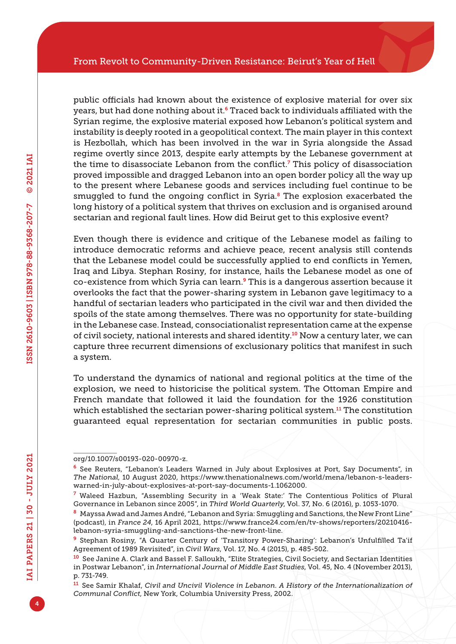public officials had known about the existence of explosive material for over six years, but had done nothing about it.<sup>6</sup> Traced back to individuals affiliated with the Syrian regime, the explosive material exposed how Lebanon's political system and instability is deeply rooted in a geopolitical context. The main player in this context is Hezbollah, which has been involved in the war in Syria alongside the Assad regime overtly since 2013, despite early attempts by the Lebanese government at the time to disassociate Lebanon from the conflict.<sup>7</sup> This policy of disassociation proved impossible and dragged Lebanon into an open border policy all the way up to the present where Lebanese goods and services including fuel continue to be smuggled to fund the ongoing conflict in Syria.<sup>8</sup> The explosion exacerbated the long history of a political system that thrives on exclusion and is organised around sectarian and regional fault lines. How did Beirut get to this explosive event?

Even though there is evidence and critique of the Lebanese model as failing to introduce democratic reforms and achieve peace, recent analysis still contends that the Lebanese model could be successfully applied to end conflicts in Yemen, Iraq and Libya. Stephan Rosiny, for instance, hails the Lebanese model as one of co-existence from which Syria can learn.9 This is a dangerous assertion because it overlooks the fact that the power-sharing system in Lebanon gave legitimacy to a handful of sectarian leaders who participated in the civil war and then divided the spoils of the state among themselves. There was no opportunity for state-building in the Lebanese case. Instead, consociationalist representation came at the expense of civil society, national interests and shared identity.10 Now a century later, we can capture three recurrent dimensions of exclusionary politics that manifest in such a system.

To understand the dynamics of national and regional politics at the time of the explosion, we need to historicise the political system. The Ottoman Empire and French mandate that followed it laid the foundation for the 1926 constitution which established the sectarian power-sharing political system.<sup>11</sup> The constitution guaranteed equal representation for sectarian communities in public posts.

[org/10.1007/s00193-020-00970-z.](https://doi.org/10.1007/s00193-020-00970-z)

<sup>6</sup> See Reuters, "Lebanon's Leaders Warned in July about Explosives at Port, Say Documents", in *The National*, 10 August 2020, [https://www.thenationalnews.com/world/mena/lebanon-s-leaders](https://www.thenationalnews.com/world/mena/lebanon-s-leaders-warned-in-july-about-explosives-at-port-say-documents-1.1062000)[warned-in-july-about-explosives-at-port-say-documents-1.1062000.](https://www.thenationalnews.com/world/mena/lebanon-s-leaders-warned-in-july-about-explosives-at-port-say-documents-1.1062000)

<sup>7</sup> Waleed Hazbun, "Assembling Security in a 'Weak State:' The Contentious Politics of Plural Governance in Lebanon since 2005", in *Third World Quarterly*, Vol. 37, No. 6 (2016), p. 1053-1070.

<sup>8</sup> Mayssa Awad and James André, "Lebanon and Syria: Smuggling and Sanctions, the New Front Line" (podcast), in *France 24*, 16 April 2021, [https://www.france24.com/en/tv-shows/reporters/20210416](https://www.france24.com/en/tv-shows/reporters/20210416-lebanon-syria-smuggling-and-sanctions-the-new-front-line) [lebanon-syria-smuggling-and-sanctions-the-new-front-line.](https://www.france24.com/en/tv-shows/reporters/20210416-lebanon-syria-smuggling-and-sanctions-the-new-front-line)

<sup>9</sup> Stephan Rosiny, "A Quarter Century of 'Transitory Power-Sharing': Lebanon's Unfulfilled Ta'if Agreement of 1989 Revisited", in *Civil Wars*, Vol. 17, No. 4 (2015), p. 485-502.

<sup>10</sup> See Janine A. Clark and Bassel F. Salloukh, "Elite Strategies, Civil Society, and Sectarian Identities in Postwar Lebanon", in *International Journal of Middle East Studies*, Vol. 45, No. 4 (November 2013), p. 731-749.

<sup>11</sup> See Samir Khalaf, *Civil and Uncivil Violence in Lebanon. A History of the Internationalization of Communal Conflict*, New York, Columbia University Press, 2002.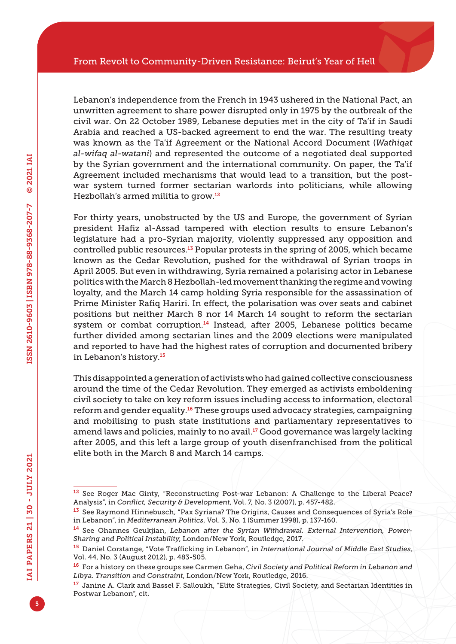Lebanon's independence from the French in 1943 ushered in the National Pact, an unwritten agreement to share power disrupted only in 1975 by the outbreak of the civil war. On 22 October 1989, Lebanese deputies met in the city of Ta'if in Saudi Arabia and reached a US-backed agreement to end the war. The resulting treaty was known as the Ta'if Agreement or the National Accord Document (*Wathiqat al-wifaq al-watani*) and represented the outcome of a negotiated deal supported by the Syrian government and the international community. On paper, the Ta'if Agreement included mechanisms that would lead to a transition, but the postwar system turned former sectarian warlords into politicians, while allowing Hezbollah's armed militia to grow.<sup>12</sup>

For thirty years, unobstructed by the US and Europe, the government of Syrian president Hafiz al-Assad tampered with election results to ensure Lebanon's legislature had a pro-Syrian majority, violently suppressed any opposition and controlled public resources.13 Popular protests in the spring of 2005, which became known as the Cedar Revolution, pushed for the withdrawal of Syrian troops in April 2005. But even in withdrawing, Syria remained a polarising actor in Lebanese politics with the March 8 Hezbollah-led movement thanking the regime and vowing loyalty, and the March 14 camp holding Syria responsible for the assassination of Prime Minister Rafiq Hariri. In effect, the polarisation was over seats and cabinet positions but neither March 8 nor 14 March 14 sought to reform the sectarian system or combat corruption.<sup>14</sup> Instead, after 2005, Lebanese politics became further divided among sectarian lines and the 2009 elections were manipulated and reported to have had the highest rates of corruption and documented bribery in Lebanon's history.<sup>15</sup>

This disappointed a generation of activists who had gained collective consciousness around the time of the Cedar Revolution. They emerged as activists emboldening civil society to take on key reform issues including access to information, electoral reform and gender equality.16 These groups used advocacy strategies, campaigning and mobilising to push state institutions and parliamentary representatives to amend laws and policies, mainly to no avail.<sup>17</sup> Good governance was largely lacking after 2005, and this left a large group of youth disenfranchised from the political elite both in the March 8 and March 14 camps.

<sup>12</sup> See Roger Mac Ginty, "Reconstructing Post-war Lebanon: A Challenge to the Liberal Peace? Analysis", in *Conflict, Security & Development*, Vol. 7, No. 3 (2007), p. 457-482.

<sup>&</sup>lt;sup>13</sup> See Raymond Hinnebusch, "Pax Syriana? The Origins, Causes and Consequences of Syria's Role in Lebanon", in *Mediterranean Politics*, Vol. 3, No. 1 (Summer 1998), p. 137-160.

<sup>14</sup> See Ohannes Geukjian, *Lebanon after the Syrian Withdrawal. External Intervention, Power-Sharing and Political Instability*, London/New York, Routledge, 2017.

<sup>15</sup> Daniel Corstange, "Vote Trafficking in Lebanon", in *International Journal of Middle East Studies*, Vol. 44, No. 3 (August 2012), p. 483-505.

<sup>16</sup> For a history on these groups see Carmen Geha, *Civil Society and Political Reform in Lebanon and Libya. Transition and Constraint*, London/New York, Routledge, 2016.

<sup>17</sup> Janine A. Clark and Bassel F. Salloukh, "Elite Strategies, Civil Society, and Sectarian Identities in Postwar Lebanon", cit.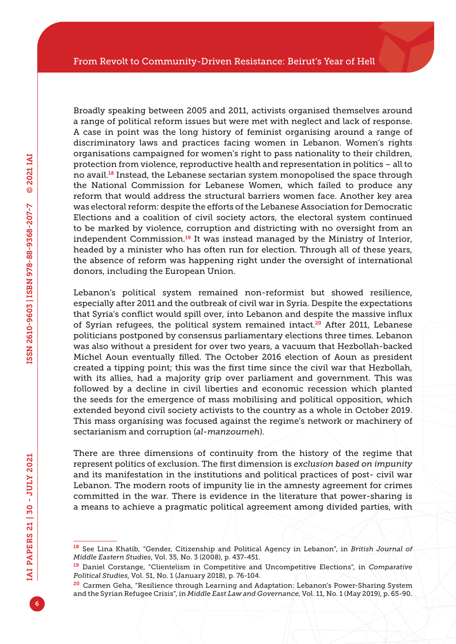Broadly speaking between 2005 and 2011, activists organised themselves around a range of political reform issues but were met with neglect and lack of response. A case in point was the long history of feminist organising around a range of discriminatory laws and practices facing women in Lebanon. Women's rights organisations campaigned for women's right to pass nationality to their children, protection from violence, reproductive health and representation in politics – all to no avail.18 Instead, the Lebanese sectarian system monopolised the space through the National Commission for Lebanese Women, which failed to produce any reform that would address the structural barriers women face. Another key area was electoral reform: despite the efforts of the Lebanese Association for Democratic Elections and a coalition of civil society actors, the electoral system continued to be marked by violence, corruption and districting with no oversight from an independent Commission.19 It was instead managed by the Ministry of Interior, headed by a minister who has often run for election. Through all of these years, the absence of reform was happening right under the oversight of international donors, including the European Union.

Lebanon's political system remained non-reformist but showed resilience, especially after 2011 and the outbreak of civil war in Syria. Despite the expectations that Syria's conflict would spill over, into Lebanon and despite the massive influx of Syrian refugees, the political system remained intact.<sup>20</sup> After 2011, Lebanese politicians postponed by consensus parliamentary elections three times. Lebanon was also without a president for over two years, a vacuum that Hezbollah-backed Michel Aoun eventually filled. The October 2016 election of Aoun as president created a tipping point; this was the first time since the civil war that Hezbollah, with its allies, had a majority grip over parliament and government. This was followed by a decline in civil liberties and economic recession which planted the seeds for the emergence of mass mobilising and political opposition, which extended beyond civil society activists to the country as a whole in October 2019. This mass organising was focused against the regime's network or machinery of sectarianism and corruption (*al-manzoumeh*).

There are three dimensions of continuity from the history of the regime that represent politics of exclusion. The first dimension is *exclusion based on impunity* and its manifestation in the institutions and political practices of post- civil war Lebanon. The modern roots of impunity lie in the amnesty agreement for crimes committed in the war. There is evidence in the literature that power-sharing is a means to achieve a pragmatic political agreement among divided parties, with

<sup>18</sup> See Lina Khatib, "Gender, Citizenship and Political Agency in Lebanon", in *British Journal of Middle Eastern Studies*, Vol. 35, No. 3 (2008), p. 437-451.

<sup>19</sup> Daniel Corstange, "Clientelism in Competitive and Uncompetitive Elections", in *Comparative Political Studies*, Vol. 51, No. 1 (January 2018), p. 76-104.

<sup>&</sup>lt;sup>20</sup> Carmen Geha, "Resilience through Learning and Adaptation: Lebanon's Power-Sharing System and the Syrian Refugee Crisis", in *Middle East Law and Governance*, Vol. 11, No. 1 (May 2019), p. 65-90.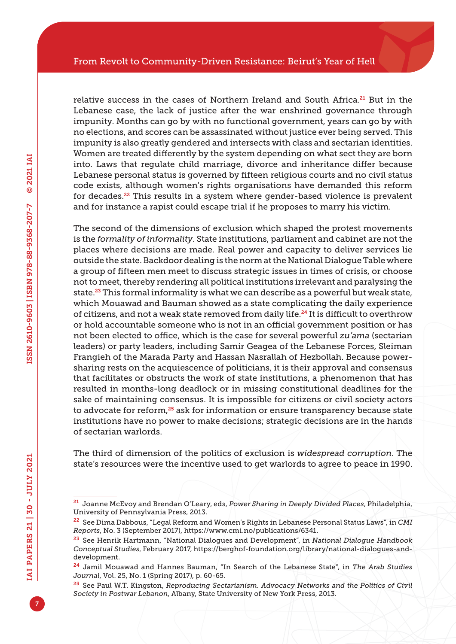relative success in the cases of Northern Ireland and South Africa.<sup>21</sup> But in the Lebanese case, the lack of justice after the war enshrined governance through impunity. Months can go by with no functional government, years can go by with no elections, and scores can be assassinated without justice ever being served. This impunity is also greatly gendered and intersects with class and sectarian identities. Women are treated differently by the system depending on what sect they are born into. Laws that regulate child marriage, divorce and inheritance differ because Lebanese personal status is governed by fifteen religious courts and no civil status code exists, although women's rights organisations have demanded this reform for decades.<sup>22</sup> This results in a system where gender-based violence is prevalent and for instance a rapist could escape trial if he proposes to marry his victim.

The second of the dimensions of exclusion which shaped the protest movements is the *formality of informality*. State institutions, parliament and cabinet are not the places where decisions are made. Real power and capacity to deliver services lie outside the state. Backdoor dealing is the norm at the National Dialogue Table where a group of fifteen men meet to discuss strategic issues in times of crisis, or choose not to meet, thereby rendering all political institutions irrelevant and paralysing the state.23 This formal informality is what we can describe as a powerful but weak state, which Mouawad and Bauman showed as a state complicating the daily experience of citizens, and not a weak state removed from daily life.24 It is difficult to overthrow or hold accountable someone who is not in an official government position or has not been elected to office, which is the case for several powerful *zu'ama* (sectarian leaders) or party leaders, including Samir Geagea of the Lebanese Forces, Sleiman Frangieh of the Marada Party and Hassan Nasrallah of Hezbollah. Because powersharing rests on the acquiescence of politicians, it is their approval and consensus that facilitates or obstructs the work of state institutions, a phenomenon that has resulted in months-long deadlock or in missing constitutional deadlines for the sake of maintaining consensus. It is impossible for citizens or civil society actors to advocate for reform,<sup>25</sup> ask for information or ensure transparency because state institutions have no power to make decisions; strategic decisions are in the hands of sectarian warlords.

The third of dimension of the politics of exclusion is *widespread corruption*. The state's resources were the incentive used to get warlords to agree to peace in 1990.

<sup>21</sup> Joanne McEvoy and Brendan O'Leary, eds, *Power Sharing in Deeply Divided Places*, Philadelphia, University of Pennsylvania Press, 2013.

<sup>22</sup> See Dima Dabbous, "Legal Reform and Women's Rights in Lebanese Personal Status Laws", in *CMI Reports*, No. 3 (September 2017), [https://www.cmi.no/publications/6341.](https://www.cmi.no/publications/6341)

<sup>23</sup> See Henrik Hartmann, "National Dialogues and Development", in *National Dialogue Handbook Conceptual Studies*, February 2017, [https://berghof-foundation.org/library/national-dialogues-and](https://berghof-foundation.org/library/national-dialogues-and-development)[development](https://berghof-foundation.org/library/national-dialogues-and-development).

<sup>24</sup> Jamil Mouawad and Hannes Bauman, "In Search of the Lebanese State", in *The Arab Studies Journal*, Vol. 25, No. 1 (Spring 2017), p. 60-65.

<sup>25</sup> See Paul W.T. Kingston, *Reproducing Sectarianism. Advocacy Networks and the Politics of Civil Society in Postwar Lebanon*, Albany, State University of New York Press, 2013.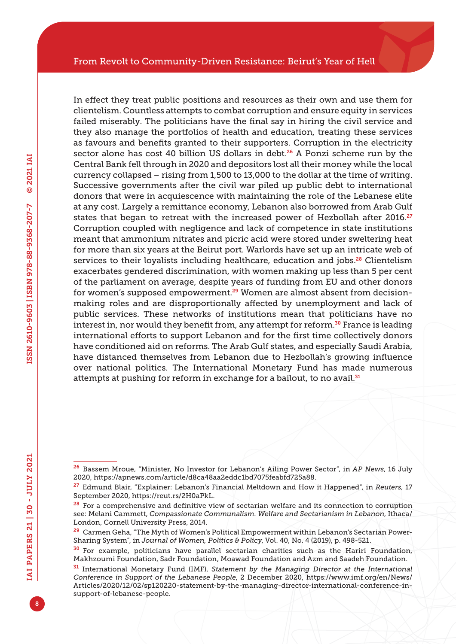In effect they treat public positions and resources as their own and use them for clientelism. Countless attempts to combat corruption and ensure equity in services failed miserably. The politicians have the final say in hiring the civil service and they also manage the portfolios of health and education, treating these services as favours and benefits granted to their supporters. Corruption in the electricity sector alone has cost 40 billion US dollars in debt. $26$  A Ponzi scheme run by the Central Bank fell through in 2020 and depositors lost all their money while the local currency collapsed – rising from 1,500 to 13,000 to the dollar at the time of writing. Successive governments after the civil war piled up public debt to international donors that were in acquiescence with maintaining the role of the Lebanese elite at any cost. Largely a remittance economy, Lebanon also borrowed from Arab Gulf states that began to retreat with the increased power of Hezbollah after 2016.<sup>27</sup> Corruption coupled with negligence and lack of competence in state institutions meant that ammonium nitrates and picric acid were stored under sweltering heat for more than six years at the Beirut port. Warlords have set up an intricate web of services to their loyalists including healthcare, education and jobs.<sup>28</sup> Clientelism exacerbates gendered discrimination, with women making up less than 5 per cent of the parliament on average, despite years of funding from EU and other donors for women's supposed empowerment.<sup>29</sup> Women are almost absent from decisionmaking roles and are disproportionally affected by unemployment and lack of public services. These networks of institutions mean that politicians have no interest in, nor would they benefit from, any attempt for reform.<sup>30</sup> France is leading international efforts to support Lebanon and for the first time collectively donors have conditioned aid on reforms. The Arab Gulf states, and especially Saudi Arabia, have distanced themselves from Lebanon due to Hezbollah's growing influence over national politics. The International Monetary Fund has made numerous attempts at pushing for reform in exchange for a bailout, to no avail.<sup>31</sup>

<sup>26</sup> Bassem Mroue, "Minister, No Investor for Lebanon's Ailing Power Sector", in *AP News*, 16 July 2020, [https://apnews.com/article/d8ca48aa2eddc1bd7075feabfd725a88.](https://apnews.com/article/d8ca48aa2eddc1bd7075feabfd725a88)

<sup>27</sup> Edmund Blair, "Explainer: Lebanon's Financial Meltdown and How it Happened", in *Reuters*, 17 September 2020,<https://reut.rs/2H0aPkL>.

<sup>&</sup>lt;sup>28</sup> For a comprehensive and definitive view of sectarian welfare and its connection to corruption see: Melani Cammett, *Compassionate Communalism. Welfare and Sectarianism in Lebanon*, Ithaca/ London, Cornell University Press, 2014.

<sup>&</sup>lt;sup>29</sup> Carmen Geha, "The Myth of Women's Political Empowerment within Lebanon's Sectarian Power-Sharing System", in *Journal of Women, Politics & Policy*, Vol. 40, No. 4 (2019), p. 498-521.

<sup>30</sup> For example, politicians have parallel sectarian charities such as the Hariri Foundation, Makhzoumi Foundation, Sadr Foundation, Moawad Foundation and Azm and Saadeh Foundation.

<sup>31</sup> International Monetary Fund (IMF), *Statement by the Managing Director at the International Conference in Support of the Lebanese People*, 2 December 2020, [https://www.imf.org/en/News/](https://www.imf.org/en/News/Articles/2020/12/02/sp120220-statement-by-the-managing-director-international-conference-in-support-of-lebanese-people) [Articles/2020/12/02/sp120220-statement-by-the-managing-director-international-conference-in](https://www.imf.org/en/News/Articles/2020/12/02/sp120220-statement-by-the-managing-director-international-conference-in-support-of-lebanese-people)[support-of-lebanese-people](https://www.imf.org/en/News/Articles/2020/12/02/sp120220-statement-by-the-managing-director-international-conference-in-support-of-lebanese-people).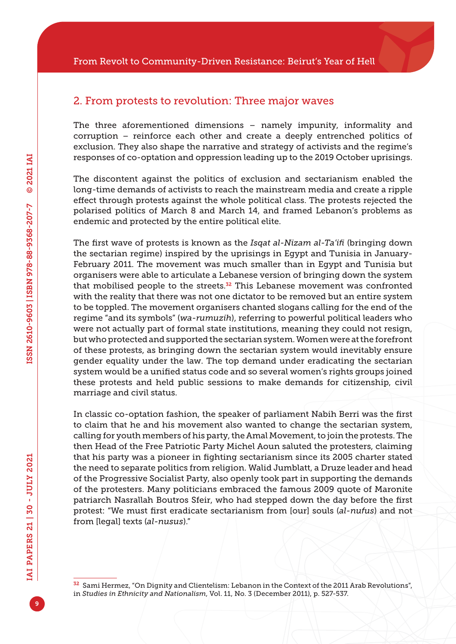#### 2. From protests to revolution: Three major waves

The three aforementioned dimensions – namely impunity, informality and corruption – reinforce each other and create a deeply entrenched politics of exclusion. They also shape the narrative and strategy of activists and the regime's responses of co-optation and oppression leading up to the 2019 October uprisings.

The discontent against the politics of exclusion and sectarianism enabled the long-time demands of activists to reach the mainstream media and create a ripple effect through protests against the whole political class. The protests rejected the polarised politics of March 8 and March 14, and framed Lebanon's problems as endemic and protected by the entire political elite.

The first wave of protests is known as the *Isqat al-Nizam al-Ta'ifi* (bringing down the sectarian regime) inspired by the uprisings in Egypt and Tunisia in January-February 2011. The movement was much smaller than in Egypt and Tunisia but organisers were able to articulate a Lebanese version of bringing down the system that mobilised people to the streets.<sup>32</sup> This Lebanese movement was confronted with the reality that there was not one dictator to be removed but an entire system to be toppled. The movement organisers chanted slogans calling for the end of the regime "and its symbols" (*wa-rumuzih*), referring to powerful political leaders who were not actually part of formal state institutions, meaning they could not resign, but who protected and supported the sectarian system. Women were at the forefront of these protests, as bringing down the sectarian system would inevitably ensure gender equality under the law. The top demand under eradicating the sectarian system would be a unified status code and so several women's rights groups joined these protests and held public sessions to make demands for citizenship, civil marriage and civil status.

In classic co-optation fashion, the speaker of parliament Nabih Berri was the first to claim that he and his movement also wanted to change the sectarian system, calling for youth members of his party, the Amal Movement, to join the protests. The then Head of the Free Patriotic Party Michel Aoun saluted the protesters, claiming that his party was a pioneer in fighting sectarianism since its 2005 charter stated the need to separate politics from religion. Walid Jumblatt, a Druze leader and head of the Progressive Socialist Party, also openly took part in supporting the demands of the protesters. Many politicians embraced the famous 2009 quote of Maronite patriarch Nasrallah Boutros Sfeir, who had stepped down the day before the first protest: "We must first eradicate sectarianism from [our] souls (*al-nufus*) and not from [legal] texts (*al-nusus*)."

<sup>&</sup>lt;sup>32</sup> Sami Hermez, "On Dignity and Clientelism: Lebanon in the Context of the 2011 Arab Revolutions", in *Studies in Ethnicity and Nationalism*, Vol. 11, No. 3 (December 2011), p. 527-537.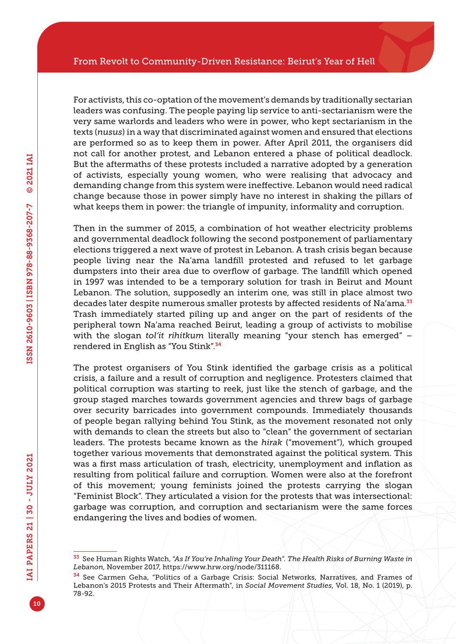For activists, this co-optation of the movement's demands by traditionally sectarian leaders was confusing. The people paying lip service to anti-sectarianism were the very same warlords and leaders who were in power, who kept sectarianism in the texts (*nusus*) in a way that discriminated against women and ensured that elections are performed so as to keep them in power. After April 2011, the organisers did not call for another protest, and Lebanon entered a phase of political deadlock. But the aftermaths of these protests included a narrative adopted by a generation of activists, especially young women, who were realising that advocacy and demanding change from this system were ineffective. Lebanon would need radical change because those in power simply have no interest in shaking the pillars of what keeps them in power: the triangle of impunity, informality and corruption.

Then in the summer of 2015, a combination of hot weather electricity problems and governmental deadlock following the second postponement of parliamentary elections triggered a next wave of protest in Lebanon. A trash crisis began because people living near the Na'ama landfill protested and refused to let garbage dumpsters into their area due to overflow of garbage. The landfill which opened in 1997 was intended to be a temporary solution for trash in Beirut and Mount Lebanon. The solution, supposedly an interim one, was still in place almost two decades later despite numerous smaller protests by affected residents of Na'ama.<sup>33</sup> Trash immediately started piling up and anger on the part of residents of the peripheral town Na'ama reached Beirut, leading a group of activists to mobilise with the slogan *tol'it rihitkum* literally meaning "your stench has emerged" – rendered in English as "You Stink".<sup>34</sup>

The protest organisers of You Stink identified the garbage crisis as a political crisis, a failure and a result of corruption and negligence. Protesters claimed that political corruption was starting to reek, just like the stench of garbage, and the group staged marches towards government agencies and threw bags of garbage over security barricades into government compounds. Immediately thousands of people began rallying behind You Stink, as the movement resonated not only with demands to clean the streets but also to "clean" the government of sectarian leaders. The protests became known as the *hirak* ("movement"), which grouped together various movements that demonstrated against the political system. This was a first mass articulation of trash, electricity, unemployment and inflation as resulting from political failure and corruption. Women were also at the forefront of this movement; young feminists joined the protests carrying the slogan "Feminist Block". They articulated a vision for the protests that was intersectional: garbage was corruption, and corruption and sectarianism were the same forces endangering the lives and bodies of women.

<sup>33</sup> See Human Rights Watch, "*As If You're Inhaling Your Death". The Health Risks of Burning Waste in Lebanon*, November 2017,<https://www.hrw.org/node/311168>.

<sup>34</sup> See Carmen Geha, "Politics of a Garbage Crisis: Social Networks, Narratives, and Frames of Lebanon's 2015 Protests and Their Aftermath", in *Social Movement Studies*, Vol. 18, No. 1 (2019), p. 78-92.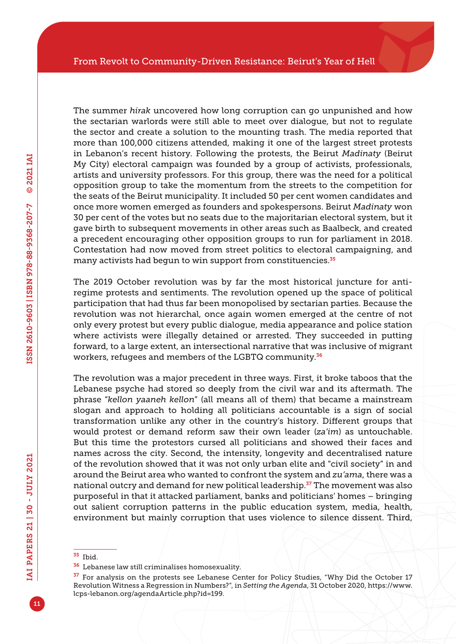The summer *hirak* uncovered how long corruption can go unpunished and how the sectarian warlords were still able to meet over dialogue, but not to regulate the sector and create a solution to the mounting trash. The media reported that more than 100,000 citizens attended, making it one of the largest street protests in Lebanon's recent history. Following the protests, the Beirut *Madinaty* (Beirut My City) electoral campaign was founded by a group of activists, professionals, artists and university professors. For this group, there was the need for a political opposition group to take the momentum from the streets to the competition for the seats of the Beirut municipality. It included 50 per cent women candidates and once more women emerged as founders and spokespersons. Beirut *Madinaty* won 30 per cent of the votes but no seats due to the majoritarian electoral system, but it gave birth to subsequent movements in other areas such as Baalbeck, and created a precedent encouraging other opposition groups to run for parliament in 2018. Contestation had now moved from street politics to electoral campaigning, and many activists had begun to win support from constituencies.<sup>35</sup>

The 2019 October revolution was by far the most historical juncture for antiregime protests and sentiments. The revolution opened up the space of political participation that had thus far been monopolised by sectarian parties. Because the revolution was not hierarchal, once again women emerged at the centre of not only every protest but every public dialogue, media appearance and police station where activists were illegally detained or arrested. They succeeded in putting forward, to a large extent, an intersectional narrative that was inclusive of migrant workers, refugees and members of the LGBTQ community.<sup>36</sup>

The revolution was a major precedent in three ways. First, it broke taboos that the Lebanese psyche had stored so deeply from the civil war and its aftermath. The phrase "*kellon yaaneh kellon*" (all means all of them) that became a mainstream slogan and approach to holding all politicians accountable is a sign of social transformation unlike any other in the country's history. Different groups that would protest or demand reform saw their own leader (*za'im*) as untouchable. But this time the protestors cursed all politicians and showed their faces and names across the city. Second, the intensity, longevity and decentralised nature of the revolution showed that it was not only urban elite and "civil society" in and around the Beirut area who wanted to confront the system and *zu'ama*, there was a national outcry and demand for new political leadership.<sup>37</sup> The movement was also purposeful in that it attacked parliament, banks and politicians' homes – bringing out salient corruption patterns in the public education system, media, health, environment but mainly corruption that uses violence to silence dissent. Third,

<sup>35</sup> Ibid.

<sup>36</sup> Lebanese law still criminalises homosexuality.

<sup>&</sup>lt;sup>37</sup> For analysis on the protests see Lebanese Center for Policy Studies, "Why Did the October 17 Revolution Witness a Regression in Numbers?", in *Setting the Agenda*, 31 October 2020, [https://www.](https://www.lcps-lebanon.org/agendaArticle.php?id=199) [lcps-lebanon.org/agendaArticle.php?id=199.](https://www.lcps-lebanon.org/agendaArticle.php?id=199)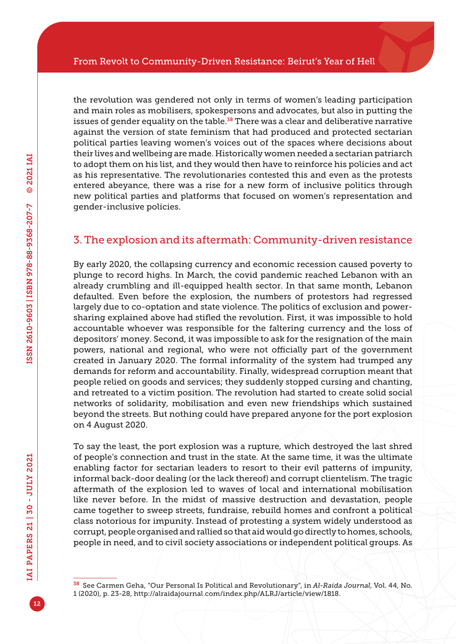the revolution was gendered not only in terms of women's leading participation and main roles as mobilisers, spokespersons and advocates, but also in putting the issues of gender equality on the table. $38$  There was a clear and deliberative narrative against the version of state feminism that had produced and protected sectarian political parties leaving women's voices out of the spaces where decisions about their lives and wellbeing are made. Historically women needed a sectarian patriarch to adopt them on his list, and they would then have to reinforce his policies and act as his representative. The revolutionaries contested this and even as the protests entered abeyance, there was a rise for a new form of inclusive politics through new political parties and platforms that focused on women's representation and gender-inclusive policies.

#### 3. The explosion and its aftermath: Community-driven resistance

By early 2020, the collapsing currency and economic recession caused poverty to plunge to record highs. In March, the covid pandemic reached Lebanon with an already crumbling and ill-equipped health sector. In that same month, Lebanon defaulted. Even before the explosion, the numbers of protestors had regressed largely due to co-optation and state violence. The politics of exclusion and powersharing explained above had stifled the revolution. First, it was impossible to hold accountable whoever was responsible for the faltering currency and the loss of depositors' money. Second, it was impossible to ask for the resignation of the main powers, national and regional, who were not officially part of the government created in January 2020. The formal informality of the system had trumped any demands for reform and accountability. Finally, widespread corruption meant that people relied on goods and services; they suddenly stopped cursing and chanting, and retreated to a victim position. The revolution had started to create solid social networks of solidarity, mobilisation and even new friendships which sustained beyond the streets. But nothing could have prepared anyone for the port explosion on 4 August 2020.

To say the least, the port explosion was a rupture, which destroyed the last shred of people's connection and trust in the state. At the same time, it was the ultimate enabling factor for sectarian leaders to resort to their evil patterns of impunity, informal back-door dealing (or the lack thereof) and corrupt clientelism. The tragic aftermath of the explosion led to waves of local and international mobilisation like never before. In the midst of massive destruction and devastation, people came together to sweep streets, fundraise, rebuild homes and confront a political class notorious for impunity. Instead of protesting a system widely understood as corrupt, people organised and rallied so that aid would go directly to homes, schools, people in need, and to civil society associations or independent political groups. As

<sup>38</sup> See Carmen Geha, "Our Personal Is Political and Revolutionary", in *Al-Raida Journal*, Vol. 44, No. 1 (2020), p. 23-28, [http://alraidajournal.com/index.php/ALRJ/article/view/1818.](http://alraidajournal.com/index.php/ALRJ/article/view/1818)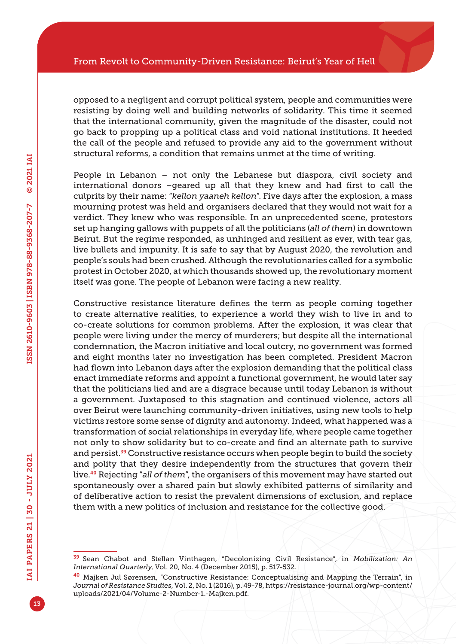opposed to a negligent and corrupt political system, people and communities were resisting by doing well and building networks of solidarity. This time it seemed that the international community, given the magnitude of the disaster, could not go back to propping up a political class and void national institutions. It heeded the call of the people and refused to provide any aid to the government without structural reforms, a condition that remains unmet at the time of writing.

People in Lebanon – not only the Lebanese but diaspora, civil society and international donors –geared up all that they knew and had first to call the culprits by their name: "*kellon yaaneh kellon*". Five days after the explosion, a mass mourning protest was held and organisers declared that they would not wait for a verdict. They knew who was responsible. In an unprecedented scene, protestors set up hanging gallows with puppets of all the politicians (*all of them*) in downtown Beirut. But the regime responded, as unhinged and resilient as ever, with tear gas, live bullets and impunity. It is safe to say that by August 2020, the revolution and people's souls had been crushed. Although the revolutionaries called for a symbolic protest in October 2020, at which thousands showed up, the revolutionary moment itself was gone. The people of Lebanon were facing a new reality.

Constructive resistance literature defines the term as people coming together to create alternative realities, to experience a world they wish to live in and to co-create solutions for common problems. After the explosion, it was clear that people were living under the mercy of murderers; but despite all the international condemnation, the Macron initiative and local outcry, no government was formed and eight months later no investigation has been completed. President Macron had flown into Lebanon days after the explosion demanding that the political class enact immediate reforms and appoint a functional government, he would later say that the politicians lied and are a disgrace because until today Lebanon is without a government. Juxtaposed to this stagnation and continued violence, actors all over Beirut were launching community-driven initiatives, using new tools to help victims restore some sense of dignity and autonomy. Indeed, what happened was a transformation of social relationships in everyday life, where people came together not only to show solidarity but to co-create and find an alternate path to survive and persist.<sup>39</sup> Constructive resistance occurs when people begin to build the society and polity that they desire independently from the structures that govern their live.40 Rejecting "*all of them*", the organisers of this movement may have started out spontaneously over a shared pain but slowly exhibited patterns of similarity and of deliberative action to resist the prevalent dimensions of exclusion, and replace them with a new politics of inclusion and resistance for the collective good.

<sup>39</sup> Sean Chabot and Stellan Vinthagen, "Decolonizing Civil Resistance", in *Mobilization: An International Quarterly*, Vol. 20, No. 4 (December 2015), p. 517-532.

<sup>40</sup> Majken Jul Sørensen, "Constructive Resistance: Conceptualising and Mapping the Terrain", in *Journal of Resistance Studies*, Vol. 2, No. 1 (2016), p. 49-78, [https://resistance-journal.org/wp-content/](https://resistance-journal.org/wp-content/uploads/2021/04/Volume-2-Number-1.-Majken.pdf) [uploads/2021/04/Volume-2-Number-1.-Majken.pdf.](https://resistance-journal.org/wp-content/uploads/2021/04/Volume-2-Number-1.-Majken.pdf)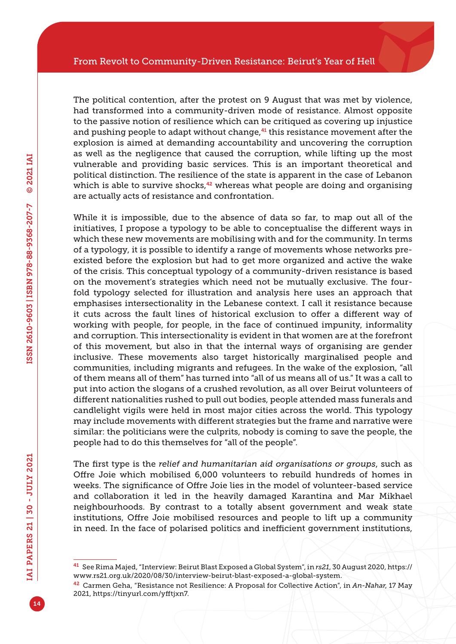The political contention, after the protest on 9 August that was met by violence, had transformed into a community-driven mode of resistance. Almost opposite to the passive notion of resilience which can be critiqued as covering up injustice and pushing people to adapt without change, $41$  this resistance movement after the explosion is aimed at demanding accountability and uncovering the corruption as well as the negligence that caused the corruption, while lifting up the most vulnerable and providing basic services. This is an important theoretical and political distinction. The resilience of the state is apparent in the case of Lebanon which is able to survive shocks,<sup>42</sup> whereas what people are doing and organising are actually acts of resistance and confrontation.

While it is impossible, due to the absence of data so far, to map out all of the initiatives, I propose a typology to be able to conceptualise the different ways in which these new movements are mobilising with and for the community. In terms of a typology, it is possible to identify a range of movements whose networks preexisted before the explosion but had to get more organized and active the wake of the crisis. This conceptual typology of a community-driven resistance is based on the movement's strategies which need not be mutually exclusive. The fourfold typology selected for illustration and analysis here uses an approach that emphasises intersectionality in the Lebanese context. I call it resistance because it cuts across the fault lines of historical exclusion to offer a different way of working with people, for people, in the face of continued impunity, informality and corruption. This intersectionality is evident in that women are at the forefront of this movement, but also in that the internal ways of organising are gender inclusive. These movements also target historically marginalised people and communities, including migrants and refugees. In the wake of the explosion, "all of them means all of them" has turned into "all of us means all of us." It was a call to put into action the slogans of a crushed revolution, as all over Beirut volunteers of different nationalities rushed to pull out bodies, people attended mass funerals and candlelight vigils were held in most major cities across the world. This typology may include movements with different strategies but the frame and narrative were similar: the politicians were the culprits, nobody is coming to save the people, the people had to do this themselves for "all of the people".

The first type is the *relief and humanitarian aid organisations or groups*, such as Offre Joie which mobilised 6,000 volunteers to rebuild hundreds of homes in weeks. The significance of Offre Joie lies in the model of volunteer-based service and collaboration it led in the heavily damaged Karantina and Mar Mikhael neighbourhoods. By contrast to a totally absent government and weak state institutions, Offre Joie mobilised resources and people to lift up a community in need. In the face of polarised politics and inefficient government institutions,

<sup>41</sup> See Rima Majed, "Interview: Beirut Blast Exposed a Global System", in *rs21*, 30 August 2020, [https://](https://www.rs21.org.uk/2020/08/30/interview-beirut-blast-exposed-a-global-system) [www.rs21.org.uk/2020/08/30/interview-beirut-blast-exposed-a-global-system.](https://www.rs21.org.uk/2020/08/30/interview-beirut-blast-exposed-a-global-system)

<sup>42</sup> Carmen Geha, "Resistance not Resilience: A Proposal for Collective Action", in *An-Nahar*, 17 May 2021, [https://tinyurl.com/yfftjxn7.](https://tinyurl.com/yfftjxn7)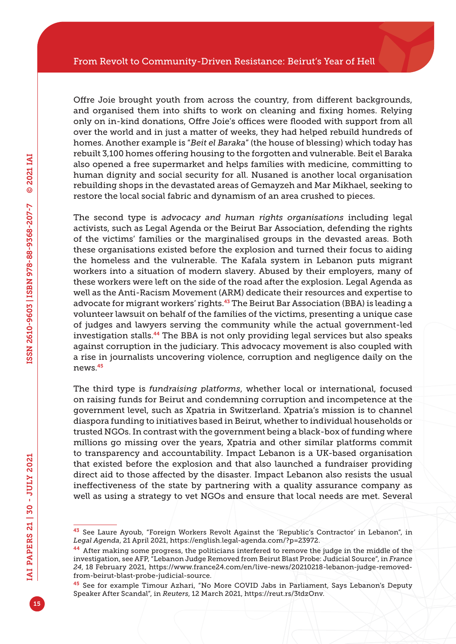Offre Joie brought youth from across the country, from different backgrounds, and organised them into shifts to work on cleaning and fixing homes. Relying only on in-kind donations, Offre Joie's offices were flooded with support from all over the world and in just a matter of weeks, they had helped rebuild hundreds of homes. Another example is "*Beit el Baraka*" (the house of blessing) which today has rebuilt 3,100 homes offering housing to the forgotten and vulnerable. Beit el Baraka also opened a free supermarket and helps families with medicine, committing to human dignity and social security for all. Nusaned is another local organisation rebuilding shops in the devastated areas of Gemayzeh and Mar Mikhael, seeking to restore the local social fabric and dynamism of an area crushed to pieces.

The second type is *advocacy and human rights organisations* including legal activists, such as Legal Agenda or the Beirut Bar Association, defending the rights of the victims' families or the marginalised groups in the devasted areas. Both these organisations existed before the explosion and turned their focus to aiding the homeless and the vulnerable. The Kafala system in Lebanon puts migrant workers into a situation of modern slavery. Abused by their employers, many of these workers were left on the side of the road after the explosion. Legal Agenda as well as the Anti-Racism Movement (ARM) dedicate their resources and expertise to advocate for migrant workers' rights.<sup>43</sup> The Beirut Bar Association (BBA) is leading a volunteer lawsuit on behalf of the families of the victims, presenting a unique case of judges and lawyers serving the community while the actual government-led investigation stalls.44 The BBA is not only providing legal services but also speaks against corruption in the judiciary. This advocacy movement is also coupled with a rise in journalists uncovering violence, corruption and negligence daily on the news.<sup>45</sup>

The third type is *fundraising platforms*, whether local or international, focused on raising funds for Beirut and condemning corruption and incompetence at the government level, such as Xpatria in Switzerland. Xpatria's mission is to channel diaspora funding to initiatives based in Beirut, whether to individual households or trusted NGOs. In contrast with the government being a black-box of funding where millions go missing over the years, Xpatria and other similar platforms commit to transparency and accountability. Impact Lebanon is a UK-based organisation that existed before the explosion and that also launched a fundraiser providing direct aid to those affected by the disaster. Impact Lebanon also resists the usual ineffectiveness of the state by partnering with a quality assurance company as well as using a strategy to vet NGOs and ensure that local needs are met. Several

<sup>43</sup> See Laure Ayoub, "Foreign Workers Revolt Against the 'Republic's Contractor' in Lebanon", in *Legal Agenda*, 21 April 2021, [https://english.legal-agenda.com/?p=23972.](https://english.legal-agenda.com/?p=23972)

<sup>&</sup>lt;sup>44</sup> After making some progress, the politicians interfered to remove the judge in the middle of the investigation, see AFP, "Lebanon Judge Removed from Beirut Blast Probe: Judicial Source", in *France 24*, 18 February 2021, [https://www.france24.com/en/live-news/20210218-lebanon-judge-removed](https://www.france24.com/en/live-news/20210218-lebanon-judge-removed-from-beirut-blast-probe-judicial-source)[from-beirut-blast-probe-judicial-source](https://www.france24.com/en/live-news/20210218-lebanon-judge-removed-from-beirut-blast-probe-judicial-source).

<sup>&</sup>lt;sup>45</sup> See for example Timour Azhari, "No More COVID Jabs in Parliament, Says Lebanon's Deputy Speaker After Scandal", in *Reuters*, 12 March 2021,<https://reut.rs/3tdzOnv>.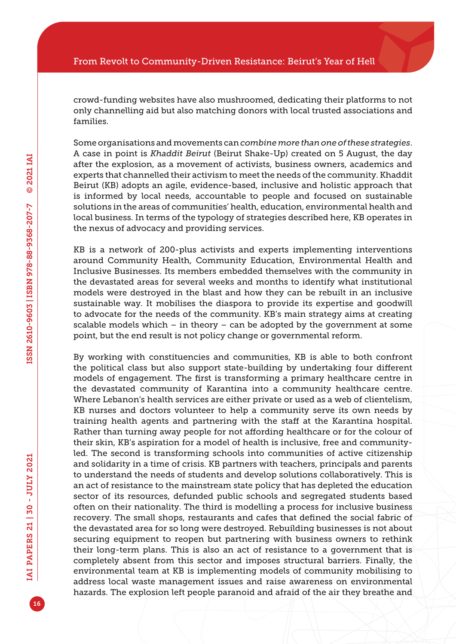crowd-funding websites have also mushroomed, dedicating their platforms to not only channelling aid but also matching donors with local trusted associations and families.

Some organisations and movements can *combine more than one of these strategies*. A case in point is *Khaddit Beirut* (Beirut Shake-Up) created on 5 August, the day after the explosion, as a movement of activists, business owners, academics and experts that channelled their activism to meet the needs of the community. Khaddit Beirut (KB) adopts an agile, evidence-based, inclusive and holistic approach that is informed by local needs, accountable to people and focused on sustainable solutions in the areas of communities' health, education, environmental health and local business. In terms of the typology of strategies described here, KB operates in the nexus of advocacy and providing services.

KB is a network of 200-plus activists and experts implementing interventions around Community Health, Community Education, Environmental Health and Inclusive Businesses. Its members embedded themselves with the community in the devastated areas for several weeks and months to identify what institutional models were destroyed in the blast and how they can be rebuilt in an inclusive sustainable way. It mobilises the diaspora to provide its expertise and goodwill to advocate for the needs of the community. KB's main strategy aims at creating scalable models which – in theory – can be adopted by the government at some point, but the end result is not policy change or governmental reform.

By working with constituencies and communities, KB is able to both confront the political class but also support state-building by undertaking four different models of engagement. The first is transforming a primary healthcare centre in the devastated community of Karantina into a community healthcare centre. Where Lebanon's health services are either private or used as a web of clientelism, KB nurses and doctors volunteer to help a community serve its own needs by training health agents and partnering with the staff at the Karantina hospital. Rather than turning away people for not affording healthcare or for the colour of their skin, KB's aspiration for a model of health is inclusive, free and communityled. The second is transforming schools into communities of active citizenship and solidarity in a time of crisis. KB partners with teachers, principals and parents to understand the needs of students and develop solutions collaboratively. This is an act of resistance to the mainstream state policy that has depleted the education sector of its resources, defunded public schools and segregated students based often on their nationality. The third is modelling a process for inclusive business recovery. The small shops, restaurants and cafes that defined the social fabric of the devastated area for so long were destroyed. Rebuilding businesses is not about securing equipment to reopen but partnering with business owners to rethink their long-term plans. This is also an act of resistance to a government that is completely absent from this sector and imposes structural barriers. Finally, the environmental team at KB is implementing models of community mobilising to address local waste management issues and raise awareness on environmental hazards. The explosion left people paranoid and afraid of the air they breathe and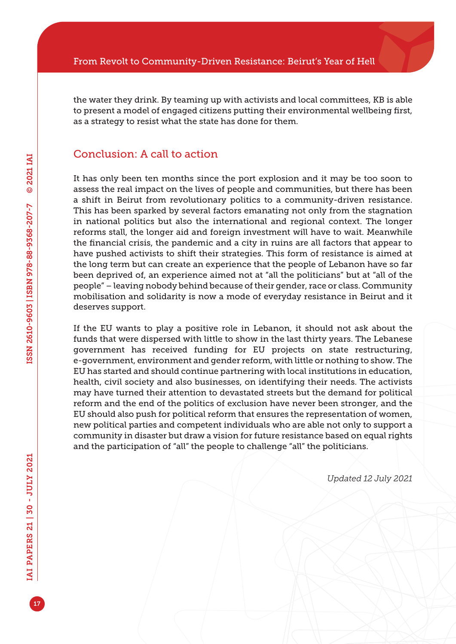the water they drink. By teaming up with activists and local committees, KB is able to present a model of engaged citizens putting their environmental wellbeing first, as a strategy to resist what the state has done for them.

#### Conclusion: A call to action

It has only been ten months since the port explosion and it may be too soon to assess the real impact on the lives of people and communities, but there has been a shift in Beirut from revolutionary politics to a community-driven resistance. This has been sparked by several factors emanating not only from the stagnation in national politics but also the international and regional context. The longer reforms stall, the longer aid and foreign investment will have to wait. Meanwhile the financial crisis, the pandemic and a city in ruins are all factors that appear to have pushed activists to shift their strategies. This form of resistance is aimed at the long term but can create an experience that the people of Lebanon have so far been deprived of, an experience aimed not at "all the politicians" but at "all of the people" – leaving nobody behind because of their gender, race or class. Community mobilisation and solidarity is now a mode of everyday resistance in Beirut and it deserves support.

If the EU wants to play a positive role in Lebanon, it should not ask about the funds that were dispersed with little to show in the last thirty years. The Lebanese government has received funding for EU projects on state restructuring, e-government, environment and gender reform, with little or nothing to show. The EU has started and should continue partnering with local institutions in education, health, civil society and also businesses, on identifying their needs. The activists may have turned their attention to devastated streets but the demand for political reform and the end of the politics of exclusion have never been stronger, and the EU should also push for political reform that ensures the representation of women, new political parties and competent individuals who are able not only to support a community in disaster but draw a vision for future resistance based on equal rights and the participation of "all" the people to challenge "all" the politicians.

*Updated 12 July 2021*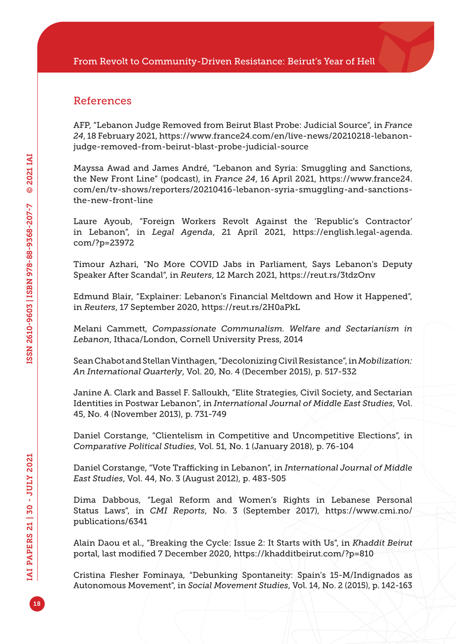#### References

AFP, "Lebanon Judge Removed from Beirut Blast Probe: Judicial Source", in *France 24*, 18 February 2021, [https://www.france24.com/en/live-news/20210218-lebanon](https://www.france24.com/en/live-news/20210218-lebanon-judge-removed-from-beirut-blast-probe-judicial-source)[judge-removed-from-beirut-blast-probe-judicial-source](https://www.france24.com/en/live-news/20210218-lebanon-judge-removed-from-beirut-blast-probe-judicial-source)

Mayssa Awad and James André, "Lebanon and Syria: Smuggling and Sanctions, the New Front Line" (podcast), in *France 24*, 16 April 2021, [https://www.france24.](https://www.france24.com/en/tv-shows/reporters/20210416-lebanon-syria-smuggling-and-sanctions-the-new-front-line) [com/en/tv-shows/reporters/20210416-lebanon-syria-smuggling-and-sanctions](https://www.france24.com/en/tv-shows/reporters/20210416-lebanon-syria-smuggling-and-sanctions-the-new-front-line)[the-new-front-line](https://www.france24.com/en/tv-shows/reporters/20210416-lebanon-syria-smuggling-and-sanctions-the-new-front-line)

Laure Ayoub, "Foreign Workers Revolt Against the 'Republic's Contractor' in Lebanon", in *Legal Agenda*, 21 April 2021, [https://english.legal-agenda.](https://english.legal-agenda.com/?p=23972) [com/?p=23972](https://english.legal-agenda.com/?p=23972)

Timour Azhari, "No More COVID Jabs in Parliament, Says Lebanon's Deputy Speaker After Scandal", in *Reuters*, 12 March 2021, <https://reut.rs/3tdzOnv>

Edmund Blair, "Explainer: Lebanon's Financial Meltdown and How it Happened", in *Reuters*, 17 September 2020,<https://reut.rs/2H0aPkL>

Melani Cammett, *Compassionate Communalism. Welfare and Sectarianism in Lebanon*, Ithaca/London, Cornell University Press, 2014

Sean Chabot and Stellan Vinthagen, "Decolonizing Civil Resistance", in *Mobilization: An International Quarterly*, Vol. 20, No. 4 (December 2015), p. 517-532

Janine A. Clark and Bassel F. Salloukh, "Elite Strategies, Civil Society, and Sectarian Identities in Postwar Lebanon", in *International Journal of Middle East Studies*, Vol. 45, No. 4 (November 2013), p. 731-749

Daniel Corstange, "Clientelism in Competitive and Uncompetitive Elections", in *Comparative Political Studies*, Vol. 51, No. 1 (January 2018), p. 76-104

Daniel Corstange, "Vote Trafficking in Lebanon", in *International Journal of Middle East Studies*, Vol. 44, No. 3 (August 2012), p. 483-505

Dima Dabbous, "Legal Reform and Women's Rights in Lebanese Personal Status Laws", in *CMI Reports*, No. 3 (September 2017), [https://www.cmi.no/](https://www.cmi.no/publications/6341) [publications/6341](https://www.cmi.no/publications/6341)

Alain Daou et al., "Breaking the Cycle: Issue 2: It Starts with Us", in *Khaddit Beirut*  portal, last modified 7 December 2020,<https://khadditbeirut.com/?p=810>

Cristina Flesher Fominaya, "Debunking Spontaneity: Spain's 15-M/Indignados as Autonomous Movement", in *Social Movement Studies*, Vol. 14, No. 2 (2015), p. 142-163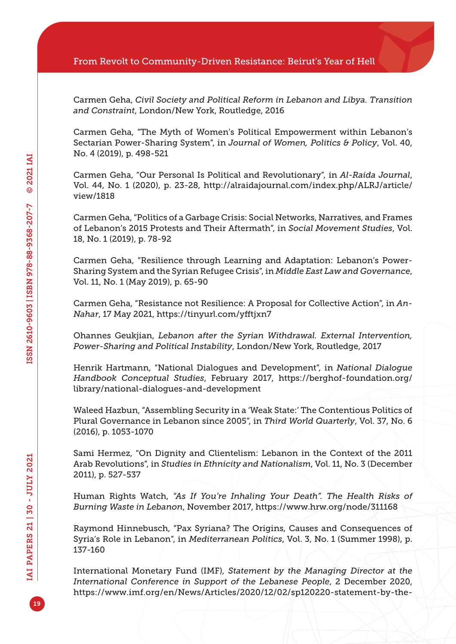Carmen Geha, *Civil Society and Political Reform in Lebanon and Libya. Transition and Constraint*, London/New York, Routledge, 2016

Carmen Geha, "The Myth of Women's Political Empowerment within Lebanon's Sectarian Power-Sharing System", in *Journal of Women, Politics & Policy*, Vol. 40, No. 4 (2019), p. 498-521

Carmen Geha, "Our Personal Is Political and Revolutionary", in *Al-Raida Journal*, Vol. 44, No. 1 (2020), p. 23-28, [http://alraidajournal.com/index.php/ALRJ/article/](http://alraidajournal.com/index.php/ALRJ/article/view/1818) [view/1818](http://alraidajournal.com/index.php/ALRJ/article/view/1818)

Carmen Geha, "Politics of a Garbage Crisis: Social Networks, Narratives, and Frames of Lebanon's 2015 Protests and Their Aftermath", in *Social Movement Studies*, Vol. 18, No. 1 (2019), p. 78-92

Carmen Geha, "Resilience through Learning and Adaptation: Lebanon's Power-Sharing System and the Syrian Refugee Crisis", in *Middle East Law and Governance*, Vol. 11, No. 1 (May 2019), p. 65-90

Carmen Geha, "Resistance not Resilience: A Proposal for Collective Action", in *An-Nahar*, 17 May 2021, <https://tinyurl.com/yfftjxn7>

Ohannes Geukjian, *Lebanon after the Syrian Withdrawal. External Intervention, Power-Sharing and Political Instability*, London/New York, Routledge, 2017

Henrik Hartmann, "National Dialogues and Development", in *National Dialogue Handbook Conceptual Studies*, February 2017, [https://berghof-foundation.org/](https://berghof-foundation.org/library/national-dialogues-and-development) [library/national-dialogues-and-development](https://berghof-foundation.org/library/national-dialogues-and-development)

Waleed Hazbun, "Assembling Security in a 'Weak State:' The Contentious Politics of Plural Governance in Lebanon since 2005", in *Third World Quarterly*, Vol. 37, No. 6 (2016), p. 1053-1070

Sami Hermez, "On Dignity and Clientelism: Lebanon in the Context of the 2011 Arab Revolutions", in *Studies in Ethnicity and Nationalism*, Vol. 11, No. 3 (December 2011), p. 527-537

Human Rights Watch, *"As If You're Inhaling Your Death". The Health Risks of Burning Waste in Lebanon*, November 2017, <https://www.hrw.org/node/311168>

Raymond Hinnebusch, "Pax Syriana? The Origins, Causes and Consequences of Syria's Role in Lebanon", in *Mediterranean Politics*, Vol. 3, No. 1 (Summer 1998), p. 137-160

International Monetary Fund (IMF), *Statement by the Managing Director at the International Conference in Support of the Lebanese People*, 2 December 2020, [https://www.imf.org/en/News/Articles/2020/12/02/sp120220-statement-by-the-](https://www.imf.org/en/News/Articles/2020/12/02/sp120220-statement-by-the-managing-director-international-conference-in-support-of-lebanese-people)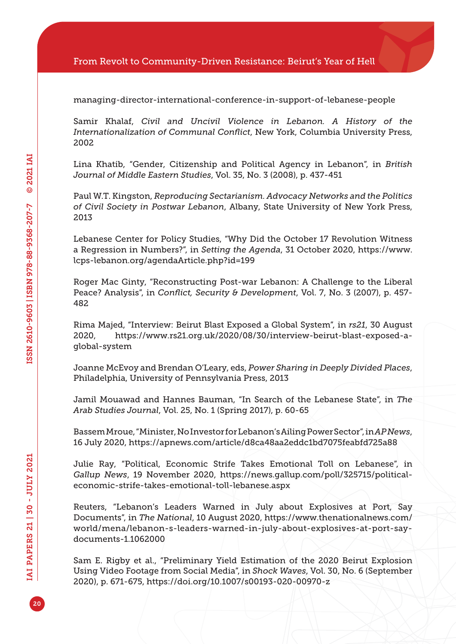[managing-director-international-conference-in-support-of-lebanese-people](https://www.imf.org/en/News/Articles/2020/12/02/sp120220-statement-by-the-managing-director-international-conference-in-support-of-lebanese-people)

Samir Khalaf, *Civil and Uncivil Violence in Lebanon. A History of the Internationalization of Communal Conflict*, New York, Columbia University Press, 2002

Lina Khatib, "Gender, Citizenship and Political Agency in Lebanon", in *British Journal of Middle Eastern Studies*, Vol. 35, No. 3 (2008), p. 437-451

Paul W.T. Kingston, *Reproducing Sectarianism. Advocacy Networks and the Politics of Civil Society in Postwar Lebanon*, Albany, State University of New York Press, 2013

Lebanese Center for Policy Studies, "Why Did the October 17 Revolution Witness a Regression in Numbers?", in *Setting the Agenda*, 31 October 2020, [https://www.](https://www.lcps-lebanon.org/agendaArticle.php?id=199) [lcps-lebanon.org/agendaArticle.php?id=199](https://www.lcps-lebanon.org/agendaArticle.php?id=199)

Roger Mac Ginty, "Reconstructing Post-war Lebanon: A Challenge to the Liberal Peace? Analysis", in *Conflict, Security & Development*, Vol. 7, No. 3 (2007), p. 457- 482

Rima Majed, "Interview: Beirut Blast Exposed a Global System", in *rs21*, 30 August 2020, [https://www.rs21.org.uk/2020/08/30/interview-beirut-blast-exposed-a](https://www.rs21.org.uk/2020/08/30/interview-beirut-blast-exposed-a-global-system)[global-system](https://www.rs21.org.uk/2020/08/30/interview-beirut-blast-exposed-a-global-system)

Joanne McEvoy and Brendan O'Leary, eds, *Power Sharing in Deeply Divided Places*, Philadelphia, University of Pennsylvania Press, 2013

Jamil Mouawad and Hannes Bauman, "In Search of the Lebanese State", in *The Arab Studies Journal*, Vol. 25, No. 1 (Spring 2017), p. 60-65

Bassem Mroue, "Minister, No Investor for Lebanon's Ailing Power Sector", in *AP News*, 16 July 2020,<https://apnews.com/article/d8ca48aa2eddc1bd7075feabfd725a88>

Julie Ray, "Political, Economic Strife Takes Emotional Toll on Lebanese", in *Gallup News*, 19 November 2020, [https://news.gallup.com/poll/325715/political](https://news.gallup.com/poll/325715/political-economic-strife-takes-emotional-toll-lebanese.aspx)[economic-strife-takes-emotional-toll-lebanese.aspx](https://news.gallup.com/poll/325715/political-economic-strife-takes-emotional-toll-lebanese.aspx)

Reuters, "Lebanon's Leaders Warned in July about Explosives at Port, Say Documents", in *The National*, 10 August 2020, [https://www.thenationalnews.com/](https://www.thenationalnews.com/world/mena/lebanon-s-leaders-warned-in-july-about-explosives-at-port-say-documents-1.1062000) [world/mena/lebanon-s-leaders-warned-in-july-about-explosives-at-port-say](https://www.thenationalnews.com/world/mena/lebanon-s-leaders-warned-in-july-about-explosives-at-port-say-documents-1.1062000)[documents-1.1062000](https://www.thenationalnews.com/world/mena/lebanon-s-leaders-warned-in-july-about-explosives-at-port-say-documents-1.1062000)

Sam E. Rigby et al., "Preliminary Yield Estimation of the 2020 Beirut Explosion Using Video Footage from Social Media", in *Shock Waves*, Vol. 30, No. 6 (September 2020), p. 671-675,<https://doi.org/10.1007/s00193-020-00970-z>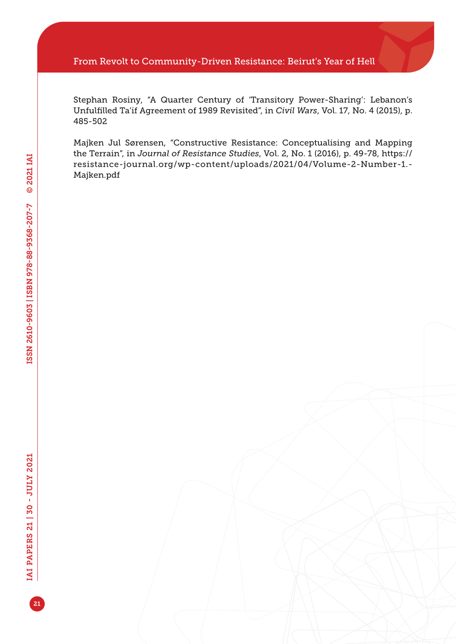#### From Revolt to Community-Driven Resistance: Beirut's Year of Hell

Stephan Rosiny, "A Quarter Century of 'Transitory Power-Sharing': Lebanon's Unfulfilled Ta'if Agreement of 1989 Revisited", in *Civil Wars*, Vol. 17, No. 4 (2015), p. 485-502

Majken Jul Sørensen, "Constructive Resistance: Conceptualising and Mapping the Terrain", in *Journal of Resistance Studies*, Vol. 2, No. 1 (2016), p. 49-78, [https://](https://resistance-journal.org/wp-content/uploads/2021/04/Volume-2-Number-1.-Majken.pdf) [resistance-journal.org/wp-content/uploads/2021/04/Volume-2-Number-1.-](https://resistance-journal.org/wp-content/uploads/2021/04/Volume-2-Number-1.-Majken.pdf) [Majken.pdf](https://resistance-journal.org/wp-content/uploads/2021/04/Volume-2-Number-1.-Majken.pdf)